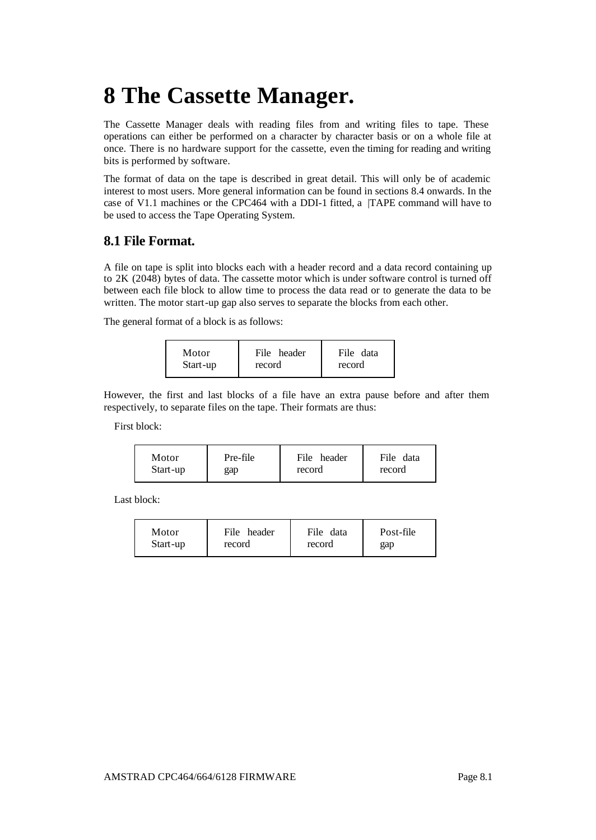# **8 The Cassette Manager.**

The Cassette Manager deals with reading files from and writing files to tape. These operations can either be performed on a character by character basis or on a whole file at once. There is no hardware support for the cassette, even the timing for reading and writing bits is performed by software.

The format of data on the tape is described in great detail. This will only be of academic interest to most users. More general information can be found in sections 8.4 onwards. In the case of V1.1 machines or the CPC464 with a DDI-1 fitted, a |TAPE command will have to be used to access the Tape Operating System.

### **8.1 File Format.**

A file on tape is split into blocks each with a header record and a data record containing up to 2K (2048) bytes of data. The cassette motor which is under software control is turned off between each file block to allow time to process the data read or to generate the data to be written. The motor start-up gap also serves to separate the blocks from each other.

The general format of a block is as follows:

| Start-up<br>record<br>record | Motor | File header | File data |
|------------------------------|-------|-------------|-----------|
|------------------------------|-------|-------------|-----------|

However, the first and last blocks of a file have an extra pause before and after them respectively, to separate files on the tape. Their formats are thus:

First block:

| Motor<br>Start-up | Pre-file<br>gap | File header<br>record | File<br>data<br>record |
|-------------------|-----------------|-----------------------|------------------------|
|-------------------|-----------------|-----------------------|------------------------|

Last block:

| Motor<br>Start-up | File header<br>record | File<br>data<br>record | Post-file<br>gap |
|-------------------|-----------------------|------------------------|------------------|
|                   |                       |                        |                  |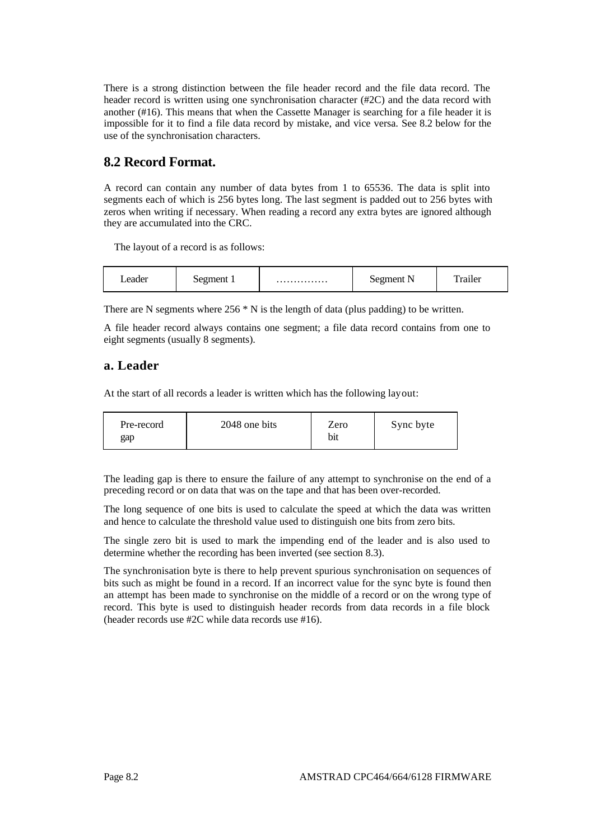There is a strong distinction between the file header record and the file data record. The header record is written using one synchronisation character (#2C) and the data record with another (#16). This means that when the Cassette Manager is searching for a file header it is impossible for it to find a file data record by mistake, and vice versa. See 8.2 below for the use of the synchronisation characters.

### **8.2 Record Format.**

A record can contain any number of data bytes from 1 to 65536. The data is split into segments each of which is 256 bytes long. The last segment is padded out to 256 bytes with zeros when writing if necessary. When reading a record any extra bytes are ignored although they are accumulated into the CRC.

The layout of a record is as follows:

| $-10.14$<br>ຼ<br>. | . |  |  |  |
|--------------------|---|--|--|--|
|--------------------|---|--|--|--|

There are N segments where  $256 * N$  is the length of data (plus padding) to be written.

A file header record always contains one segment; a file data record contains from one to eight segments (usually 8 segments).

### **a. Leader**

At the start of all records a leader is written which has the following layout:

| Pre-record | 2048 one bits | Zero | Sync byte |
|------------|---------------|------|-----------|
| gap        |               | bit  |           |

The leading gap is there to ensure the failure of any attempt to synchronise on the end of a preceding record or on data that was on the tape and that has been over-recorded.

The long sequence of one bits is used to calculate the speed at which the data was written and hence to calculate the threshold value used to distinguish one bits from zero bits.

The single zero bit is used to mark the impending end of the leader and is also used to determine whether the recording has been inverted (see section 8.3).

The synchronisation byte is there to help prevent spurious synchronisation on sequences of bits such as might be found in a record. If an incorrect value for the sync byte is found then an attempt has been made to synchronise on the middle of a record or on the wrong type of record. This byte is used to distinguish header records from data records in a file block (header records use #2C while data records use #16).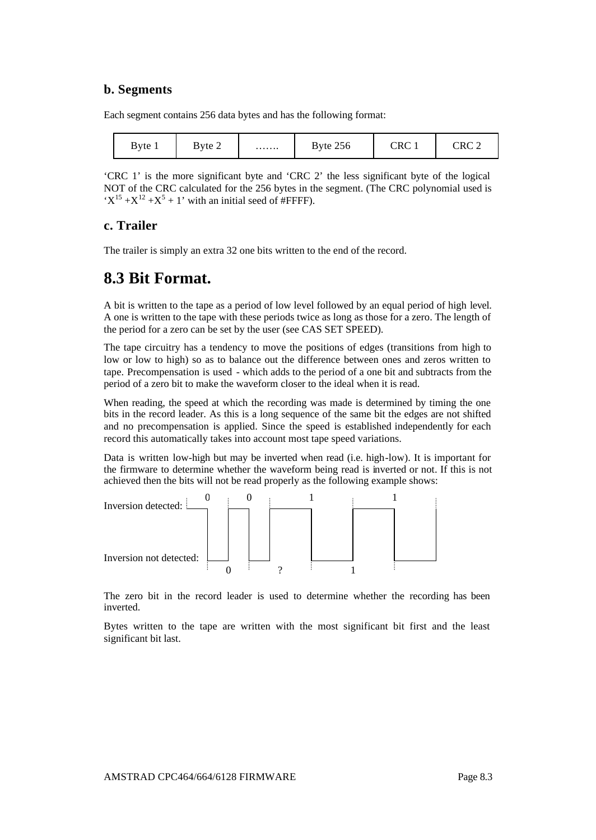### **b. Segments**

Each segment contains 256 data bytes and has the following format:

| Byte 1 | Byte 2 | . | Byte 256 | CRC | ″ ∩פי |
|--------|--------|---|----------|-----|-------|
|--------|--------|---|----------|-----|-------|

'CRC 1' is the more significant byte and 'CRC 2' the less significant byte of the logical NOT of the CRC calculated for the 256 bytes in the segment. (The CRC polynomial used is  $X^{15} + X^{12} + X^5 + 1$ ' with an initial seed of #FFFF).

### **c. Trailer**

The trailer is simply an extra 32 one bits written to the end of the record.

### **8.3 Bit Format.**

A bit is written to the tape as a period of low level followed by an equal period of high level. A one is written to the tape with these periods twice as long as those for a zero. The length of the period for a zero can be set by the user (see CAS SET SPEED).

The tape circuitry has a tendency to move the positions of edges (transitions from high to low or low to high) so as to balance out the difference between ones and zeros written to tape. Precompensation is used - which adds to the period of a one bit and subtracts from the period of a zero bit to make the waveform closer to the ideal when it is read.

When reading, the speed at which the recording was made is determined by timing the one bits in the record leader. As this is a long sequence of the same bit the edges are not shifted and no precompensation is applied. Since the speed is established independently for each record this automatically takes into account most tape speed variations.

Data is written low-high but may be inverted when read (i.e. high-low). It is important for the firmware to determine whether the waveform being read is inverted or not. If this is not achieved then the bits will not be read properly as the following example shows:



The zero bit in the record leader is used to determine whether the recording has been inverted.

Bytes written to the tape are written with the most significant bit first and the least significant bit last.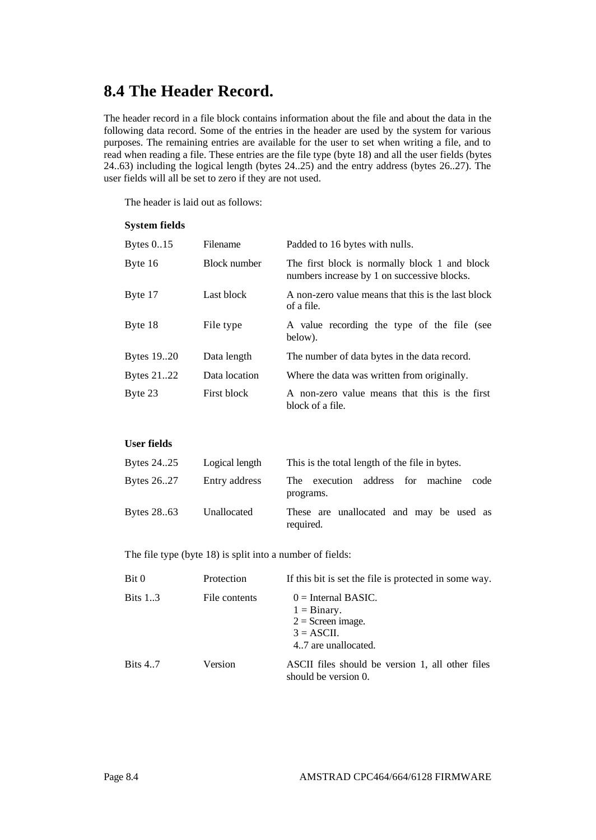## **8.4 The Header Record.**

The header record in a file block contains information about the file and about the data in the following data record. Some of the entries in the header are used by the system for various purposes. The remaining entries are available for the user to set when writing a file, and to read when reading a file. These entries are the file type (byte 18) and all the user fields (bytes 24..63) including the logical length (bytes 24..25) and the entry address (bytes 26..27). The user fields will all be set to zero if they are not used.

The header is laid out as follows:

#### **System fields**

| Bytes $0.15$ | Filename      | Padded to 16 bytes with nulls.                                                               |
|--------------|---------------|----------------------------------------------------------------------------------------------|
| Byte 16      | Block number  | The first block is normally block 1 and block<br>numbers increase by 1 on successive blocks. |
| Byte 17      | Last block    | A non-zero value means that this is the last block<br>of a file.                             |
| Byte 18      | File type     | A value recording the type of the file (see<br>below).                                       |
| Bytes 19.20  | Data length   | The number of data bytes in the data record.                                                 |
| Bytes 2122   | Data location | Where the data was written from originally.                                                  |
| Byte 23      | First block   | A non-zero value means that this is the first<br>block of a file.                            |

### **User fields**

| Bytes 2425 | Logical length | This is the total length of the file in bytes.         |
|------------|----------------|--------------------------------------------------------|
| Bytes 2627 | Entry address  | The execution address for machine<br>code<br>programs. |
| Bytes 2863 | Unallocated    | These are unallocated and may be used as<br>required.  |

The file type (byte 18) is split into a number of fields:

| Bit 0           | Protection    | If this bit is set the file is protected in some way.                                                          |
|-----------------|---------------|----------------------------------------------------------------------------------------------------------------|
| <b>Bits 1.3</b> | File contents | $0 =$ Internal BASIC.<br>$1 = \text{Binary}$ .<br>$2 =$ Screen image.<br>$3 = ASCII$ .<br>4.7 are unallocated. |
| <b>Bits 4.7</b> | Version       | ASCII files should be version 1, all other files<br>should be version 0.                                       |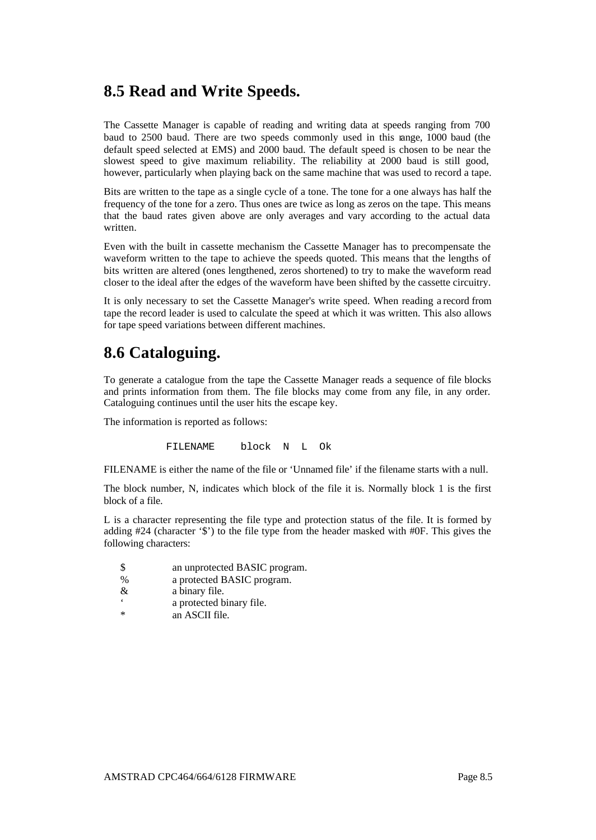## **8.5 Read and Write Speeds.**

The Cassette Manager is capable of reading and writing data at speeds ranging from 700 baud to 2500 baud. There are two speeds commonly used in this range, 1000 baud (the default speed selected at EMS) and 2000 baud. The default speed is chosen to be near the slowest speed to give maximum reliability. The reliability at 2000 baud is still good, however, particularly when playing back on the same machine that was used to record a tape.

Bits are written to the tape as a single cycle of a tone. The tone for a one always has half the frequency of the tone for a zero. Thus ones are twice as long as zeros on the tape. This means that the baud rates given above are only averages and vary according to the actual data written.

Even with the built in cassette mechanism the Cassette Manager has to precompensate the waveform written to the tape to achieve the speeds quoted. This means that the lengths of bits written are altered (ones lengthened, zeros shortened) to try to make the waveform read closer to the ideal after the edges of the waveform have been shifted by the cassette circuitry.

It is only necessary to set the Cassette Manager's write speed. When reading a record from tape the record leader is used to calculate the speed at which it was written. This also allows for tape speed variations between different machines.

## **8.6 Cataloguing.**

To generate a catalogue from the tape the Cassette Manager reads a sequence of file blocks and prints information from them. The file blocks may come from any file, in any order. Cataloguing continues until the user hits the escape key.

The information is reported as follows:

FILENAME block N L Ok

FILENAME is either the name of the file or 'Unnamed file' if the filename starts with a null.

The block number, N, indicates which block of the file it is. Normally block 1 is the first block of a file.

L is a character representing the file type and protection status of the file. It is formed by adding #24 (character '\$') to the file type from the header masked with #0F. This gives the following characters:

- \$ an unprotected BASIC program.
- % a protected BASIC program.
- & a binary file.
- ' a protected binary file.
- an ASCII file.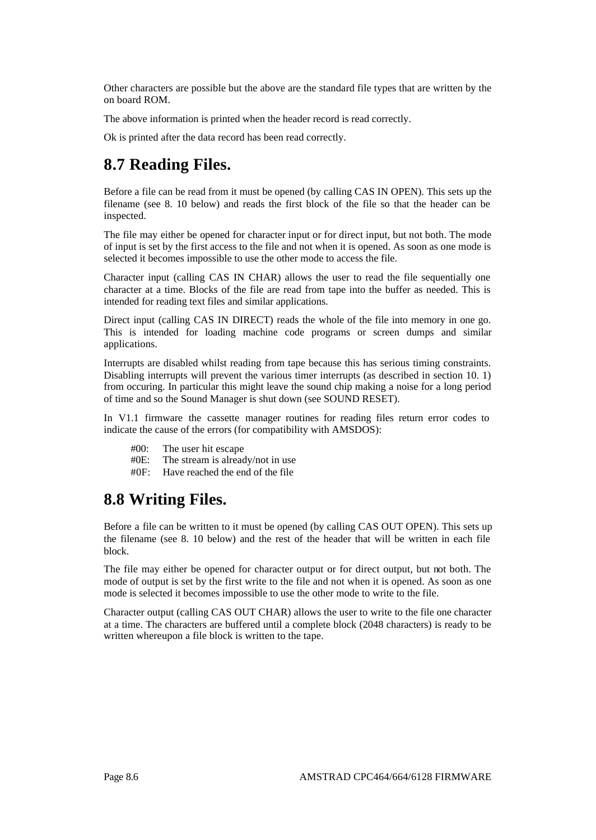Other characters are possible but the above are the standard file types that are written by the on board ROM.

The above information is printed when the header record is read correctly.

Ok is printed after the data record has been read correctly.

## **8.7 Reading Files.**

Before a file can be read from it must be opened (by calling CAS IN OPEN). This sets up the filename (see 8. 10 below) and reads the first block of the file so that the header can be inspected.

The file may either be opened for character input or for direct input, but not both. The mode of input is set by the first access to the file and not when it is opened. As soon as one mode is selected it becomes impossible to use the other mode to access the file.

Character input (calling CAS IN CHAR) allows the user to read the file sequentially one character at a time. Blocks of the file are read from tape into the buffer as needed. This is intended for reading text files and similar applications.

Direct input (calling CAS IN DIRECT) reads the whole of the file into memory in one go. This is intended for loading machine code programs or screen dumps and similar applications.

Interrupts are disabled whilst reading from tape because this has serious timing constraints. Disabling interrupts will prevent the various timer interrupts (as described in section 10. 1) from occuring. In particular this might leave the sound chip making a noise for a long period of time and so the Sound Manager is shut down (see SOUND RESET).

In V1.1 firmware the cassette manager routines for reading files return error codes to indicate the cause of the errors (for compatibility with AMSDOS):

- $#00$ : The user hit escape<br> $#0F$ : The stream is alread
- The stream is already/not in use
- #0F: Have reached the end of the file

## **8.8 Writing Files.**

Before a file can be written to it must be opened (by calling CAS OUT OPEN). This sets up the filename (see 8. 10 below) and the rest of the header that will be written in each file block.

The file may either be opened for character output or for direct output, but not both. The mode of output is set by the first write to the file and not when it is opened. As soon as one mode is selected it becomes impossible to use the other mode to write to the file.

Character output (calling CAS OUT CHAR) allows the user to write to the file one character at a time. The characters are buffered until a complete block (2048 characters) is ready to be written whereupon a file block is written to the tape.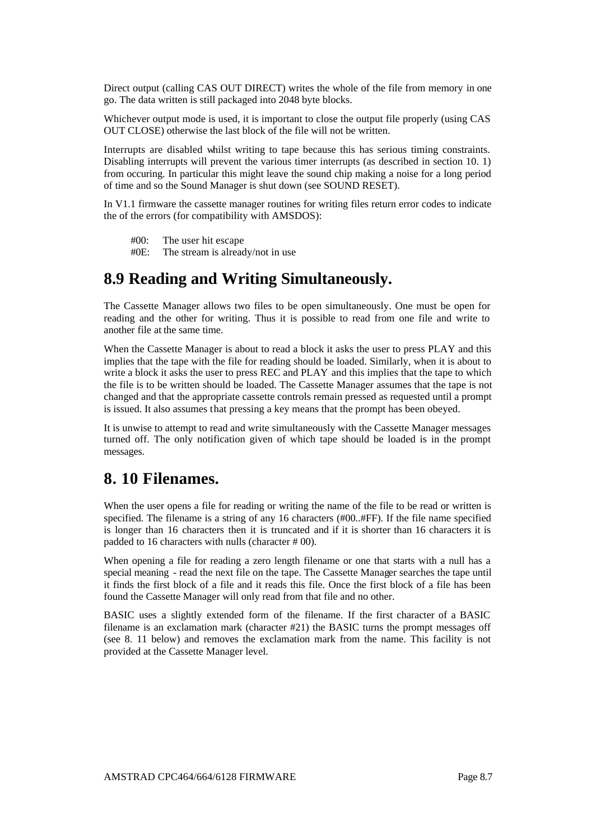Direct output (calling CAS OUT DIRECT) writes the whole of the file from memory in one go. The data written is still packaged into 2048 byte blocks.

Whichever output mode is used, it is important to close the output file properly (using CAS OUT CLOSE) otherwise the last block of the file will not be written.

Interrupts are disabled whilst writing to tape because this has serious timing constraints. Disabling interrupts will prevent the various timer interrupts (as described in section 10. 1) from occuring. In particular this might leave the sound chip making a noise for a long period of time and so the Sound Manager is shut down (see SOUND RESET).

In V1.1 firmware the cassette manager routines for writing files return error codes to indicate the of the errors (for compatibility with AMSDOS):

- #00: The user hit escape
- #0E: The stream is already/not in use

### **8.9 Reading and Writing Simultaneously.**

The Cassette Manager allows two files to be open simultaneously. One must be open for reading and the other for writing. Thus it is possible to read from one file and write to another file at the same time.

When the Cassette Manager is about to read a block it asks the user to press PLAY and this implies that the tape with the file for reading should be loaded. Similarly, when it is about to write a block it asks the user to press REC and PLAY and this implies that the tape to which the file is to be written should be loaded. The Cassette Manager assumes that the tape is not changed and that the appropriate cassette controls remain pressed as requested until a prompt is issued. It also assumes that pressing a key means that the prompt has been obeyed.

It is unwise to attempt to read and write simultaneously with the Cassette Manager messages turned off. The only notification given of which tape should be loaded is in the prompt messages.

### **8. 10 Filenames.**

When the user opens a file for reading or writing the name of the file to be read or written is specified. The filename is a string of any 16 characters (#00..#FF). If the file name specified is longer than 16 characters then it is truncated and if it is shorter than 16 characters it is padded to 16 characters with nulls (character # 00).

When opening a file for reading a zero length filename or one that starts with a null has a special meaning - read the next file on the tape. The Cassette Manager searches the tape until it finds the first block of a file and it reads this file. Once the first block of a file has been found the Cassette Manager will only read from that file and no other.

BASIC uses a slightly extended form of the filename. If the first character of a BASIC filename is an exclamation mark (character  $#21$ ) the BASIC turns the prompt messages off (see 8. 11 below) and removes the exclamation mark from the name. This facility is not provided at the Cassette Manager level.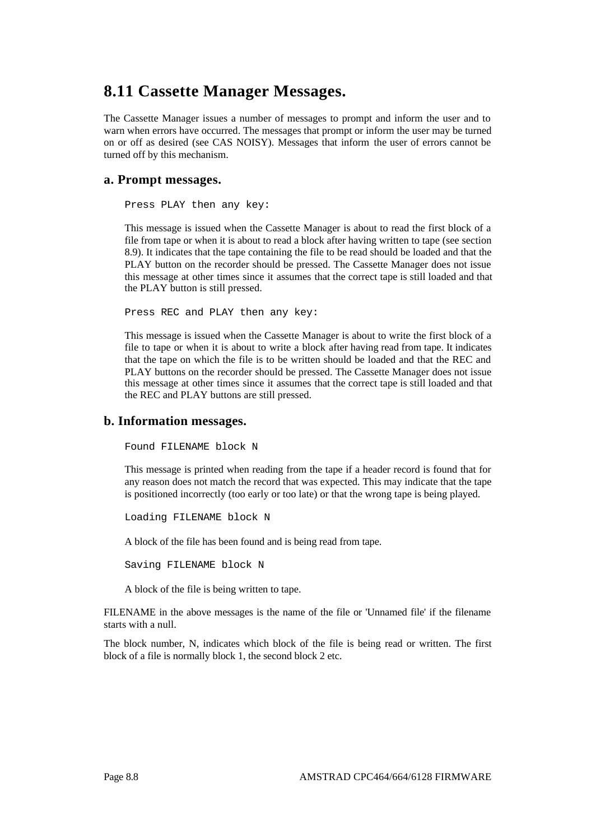## **8.11 Cassette Manager Messages.**

The Cassette Manager issues a number of messages to prompt and inform the user and to warn when errors have occurred. The messages that prompt or inform the user may be turned on or off as desired (see CAS NOISY). Messages that inform the user of errors cannot be turned off by this mechanism.

### **a. Prompt messages.**

Press PLAY then any key:

This message is issued when the Cassette Manager is about to read the first block of a file from tape or when it is about to read a block after having written to tape (see section 8.9). It indicates that the tape containing the file to be read should be loaded and that the PLAY button on the recorder should be pressed. The Cassette Manager does not issue this message at other times since it assumes that the correct tape is still loaded and that the PLAY button is still pressed.

Press REC and PLAY then any key:

This message is issued when the Cassette Manager is about to write the first block of a file to tape or when it is about to write a block after having read from tape. It indicates that the tape on which the file is to be written should be loaded and that the REC and PLAY buttons on the recorder should be pressed. The Cassette Manager does not issue this message at other times since it assumes that the correct tape is still loaded and that the REC and PLAY buttons are still pressed.

#### **b. Information messages.**

Found FILENAME block N

This message is printed when reading from the tape if a header record is found that for any reason does not match the record that was expected. This may indicate that the tape is positioned incorrectly (too early or too late) or that the wrong tape is being played.

Loading FILENAME block N

A block of the file has been found and is being read from tape.

Saving FILENAME block N

A block of the file is being written to tape.

FILENAME in the above messages is the name of the file or 'Unnamed file' if the filename starts with a null.

The block number, N, indicates which block of the file is being read or written. The first block of a file is normally block 1, the second block 2 etc.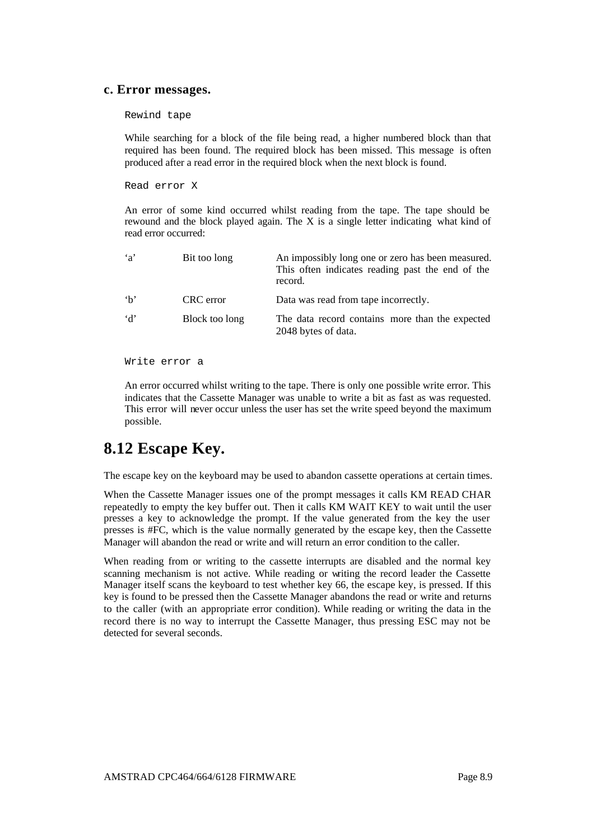#### **c. Error messages.**

Rewind tape

While searching for a block of the file being read, a higher numbered block than that required has been found. The required block has been missed. This message is often produced after a read error in the required block when the next block is found.

Read error X

An error of some kind occurred whilst reading from the tape. The tape should be rewound and the block played again. The X is a single letter indicating what kind of read error occurred:

| $\mathbf{a}$ | Bit too long   | An impossibly long one or zero has been measured.<br>This often indicates reading past the end of the<br>record. |
|--------------|----------------|------------------------------------------------------------------------------------------------------------------|
| h            | CRC error      | Data was read from tape incorrectly.                                                                             |
| d'           | Block too long | The data record contains more than the expected<br>2048 bytes of data.                                           |

Write error a

An error occurred whilst writing to the tape. There is only one possible write error. This indicates that the Cassette Manager was unable to write a bit as fast as was requested. This error will never occur unless the user has set the write speed beyond the maximum possible.

## **8.12 Escape Key.**

The escape key on the keyboard may be used to abandon cassette operations at certain times.

When the Cassette Manager issues one of the prompt messages it calls KM READ CHAR repeatedly to empty the key buffer out. Then it calls KM WAIT KEY to wait until the user presses a key to acknowledge the prompt. If the value generated from the key the user presses is #FC, which is the value normally generated by the escape key, then the Cassette Manager will abandon the read or write and will return an error condition to the caller.

When reading from or writing to the cassette interrupts are disabled and the normal key scanning mechanism is not active. While reading or writing the record leader the Cassette Manager itself scans the keyboard to test whether key 66, the escape key, is pressed. If this key is found to be pressed then the Cassette Manager abandons the read or write and returns to the caller (with an appropriate error condition). While reading or writing the data in the record there is no way to interrupt the Cassette Manager, thus pressing ESC may not be detected for several seconds.